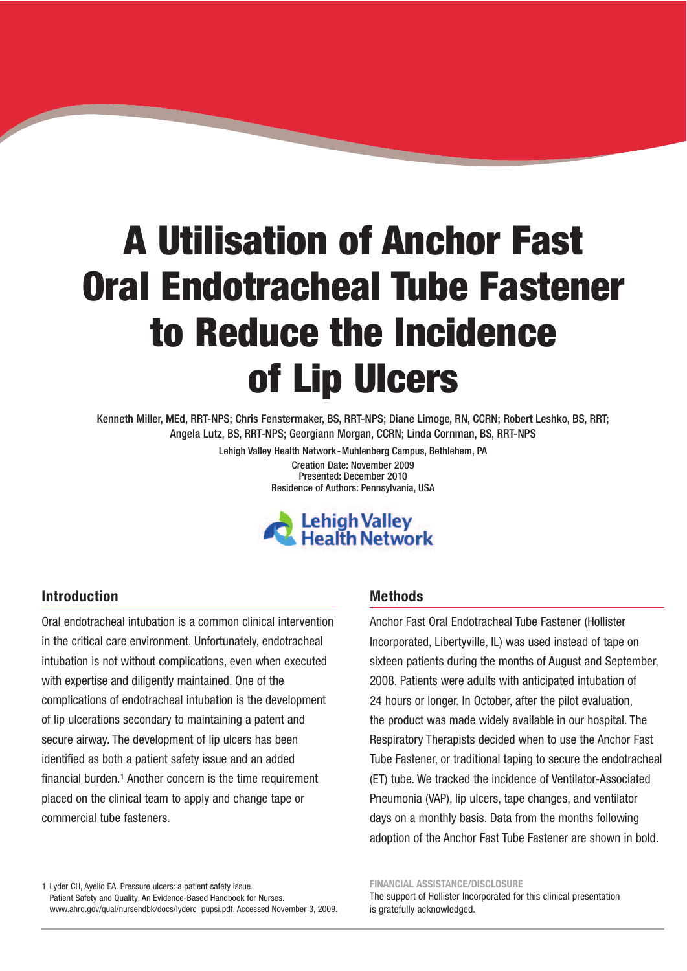# A Utilisation of Anchor Fast Oral Endotracheal Tube Fastener to Reduce the Incidence of Lip Ulcers

Kenneth Miller, MEd, RRT-NPS; Chris Fenstermaker, BS, RRT-NPS; Diane Limoge, RN, CCRN; Robert Leshko, BS, RRT; Angela Lutz, BS, RRT-NPS; Georgiann Morgan, CCRN; Linda Cornman, BS, RRT-NPS

> Lehigh Valley Health Network-Muhlenberg Campus, Bethlehem, PA Creation Date: November 2009 Presented: December 2010 Residence of Authors: Pennsylvania, USA



#### **Introduction**

Oral endotracheal intubation is a common clinical intervention in the critical care environment. Unfortunately, endotracheal intubation is not without complications, even when executed with expertise and diligently maintained. One of the complications of endotracheal intubation is the development of lip ulcerations secondary to maintaining a patent and secure airway. The development of lip ulcers has been identified as both a patient safety issue and an added financial burden. <sup>1</sup> Another concern is the time requirement placed on the clinical team to apply and change tape or commercial tube fasteners.

#### **Methods**

Anchor Fast Oral Endotracheal Tube Fastener (Hollister Incorporated, Libertyville, IL) was used instead of tape on sixteen patients during the months of August and September, 2008. Patients were adults with anticipated intubation of 24 hours or longer. In October, after the pilot evaluation, the product was made widely available in our hospital. The Respiratory Therapists decided when to use the Anchor Fast Tube Fastener, or traditional taping to secure the endotracheal (ET) tube. We tracked the incidence of Ventilator-Associated Pneumonia (VAP), lip ulcers, tape changes, and ventilator days on a monthly basis. Data from the months following adoption of the Anchor Fast Tube Fastener are shown in bold.

1 Lyder CH, Ayello EA. Pressure ulcers: a patient safety issue. Patient Safety and Quality: An Evidence-Based Handbook for Nurses. www.ahrq.gov/qual/nursehdbk/docs/lyderc\_pupsi.pdf. Accessed November 3, 2009.

#### **FINANCIAL ASSISTANCE/DISCLOSURE**

The support of Hollister Incorporated for this clinical presentation is gratefully acknowledged.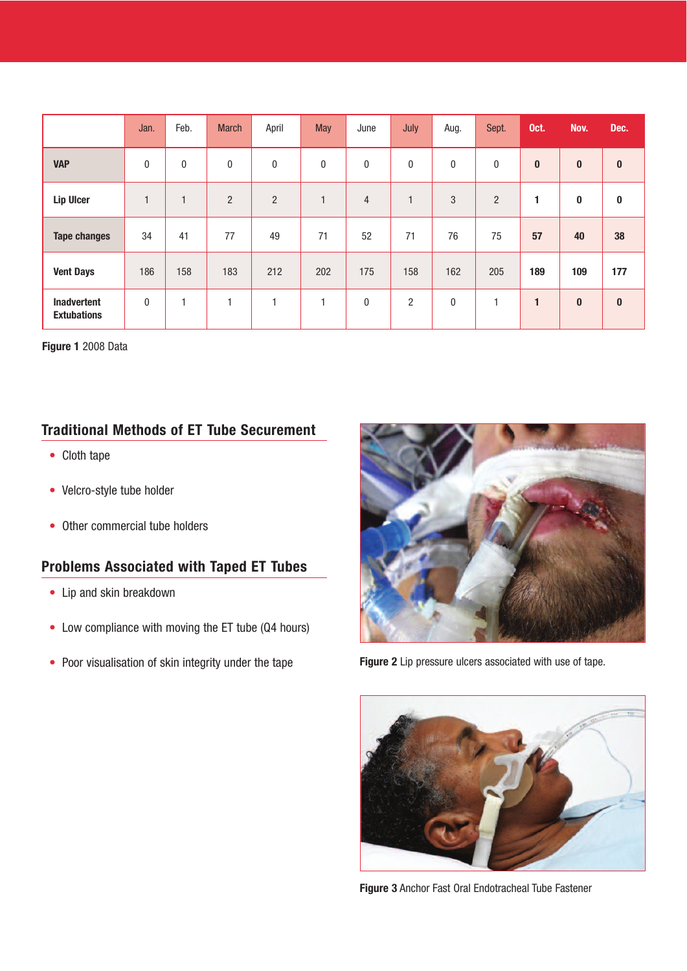|                                          | Jan.         | Feb.         | <b>March</b>   | April          | <b>May</b>     | June           | July           | Aug.         | Sept.          | Oct.      | Nov.     | Dec.     |
|------------------------------------------|--------------|--------------|----------------|----------------|----------------|----------------|----------------|--------------|----------------|-----------|----------|----------|
| <b>VAP</b>                               | $\mathbf{0}$ | $\mathbf{0}$ | $\mathbf 0$    | $\bf{0}$       | $\bf{0}$       | $\pmb{0}$      | $\mathbf 0$    | 0            | $\pmb{0}$      | $\pmb{0}$ | $\bf{0}$ | $\bf{0}$ |
| <b>Lip Ulcer</b>                         | $\mathbf{1}$ | $\mathbf{1}$ | $\overline{2}$ | $\overline{2}$ | $\overline{ }$ | $\overline{4}$ | $\mathbf{1}$   | 3            | $\overline{2}$ | 1         | 0        | 0        |
| <b>Tape changes</b>                      | 34           | 41           | 77             | 49             | 71             | 52             | 71             | 76           | 75             | 57        | 40       | 38       |
| <b>Vent Days</b>                         | 186          | 158          | 183            | 212            | 202            | 175            | 158            | 162          | 205            | 189       | 109      | 177      |
| <b>Inadvertent</b><br><b>Extubations</b> | $\mathbf{0}$ | H            | н              |                | ۰              | $\pmb{0}$      | $\overline{2}$ | $\mathbf{0}$ |                | 1         | $\bf{0}$ | $\bf{0}$ |

**Figure 1** 2008 Data

#### **Traditional Methods of ET Tube Securement**

- Cloth tape
- Velcro-style tube holder
- Other commercial tube holders

### **Problems Associated with Taped ET Tubes**

- Lip and skin breakdown
- Low compliance with moving the ET tube (Q4 hours)
- Poor visualisation of skin integrity under the tape



**Figure 2** Lip pressure ulcers associated with use of tape.



**Figure 3** Anchor Fast Oral Endotracheal Tube Fastener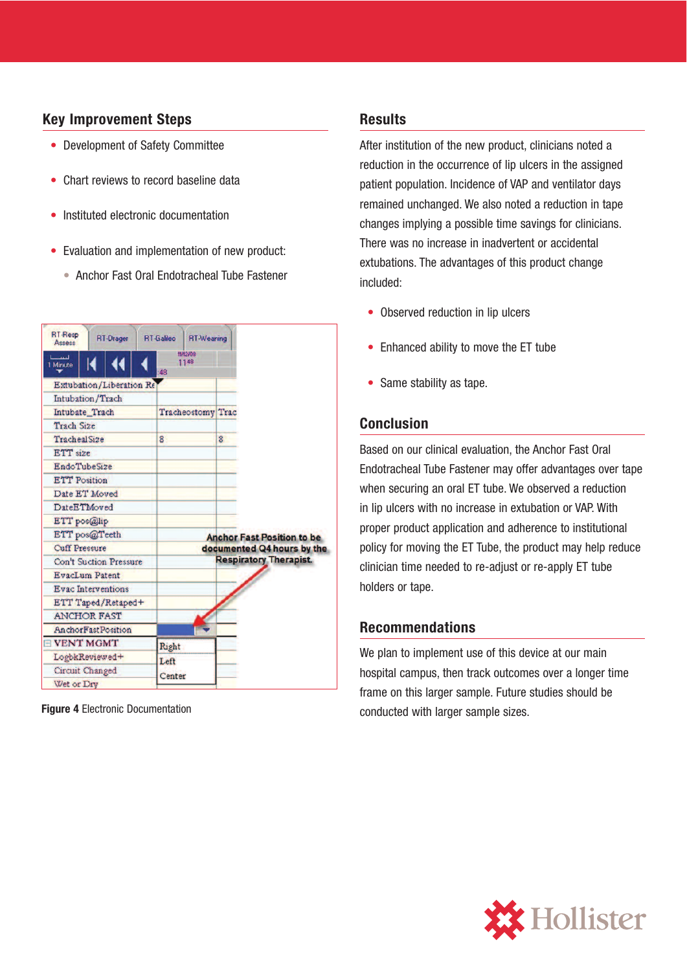#### **Key Improvement Steps**

- Development of Safety Committee
- Chart reviews to record baseline data
- Instituted electronic documentation
- Evaluation and implementation of new product:
	- Anchor Fast Oral Endotracheal Tube Fastener



#### **Results**

After institution of the new product, clinicians noted a reduction in the occurrence of lip ulcers in the assigned patient population. Incidence of VAP and ventilator days remained unchanged. We also noted a reduction in tape changes implying a possible time savings for clinicians. There was no increase in inadvertent or accidental extubations. The advantages of this product change included:

- Observed reduction in lip ulcers
- Enhanced ability to move the ET tube
- Same stability as tape.

#### **Conclusion**

Based on our clinical evaluation, the Anchor Fast Oral Endotracheal Tube Fastener may offer advantages over tape when securing an oral ET tube. We observed a reduction in lip ulcers with no increase in extubation or VAP. With proper product application and adherence to institutional policy for moving the ET Tube, the product may help reduce clinician time needed to re-adjust or re-apply ET tube holders or tape.

#### **Recommendations**

We plan to implement use of this device at our main hospital campus, then track outcomes over a longer time frame on this larger sample. Future studies should be conducted with larger sample sizes. **Figure 4** Electronic Documentation